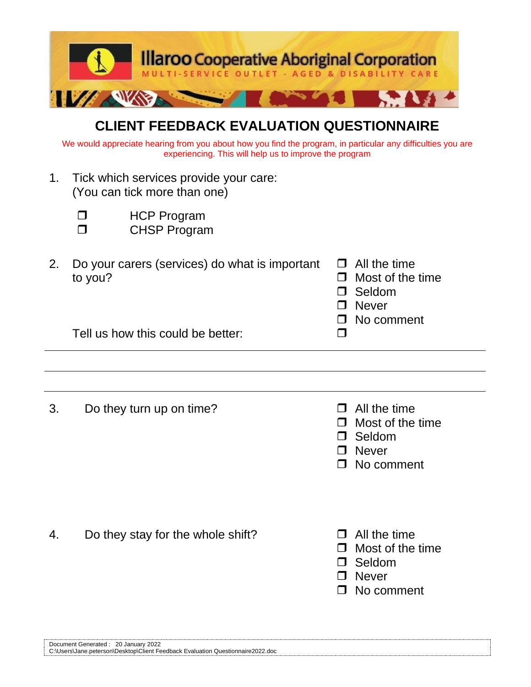

## **CLIENT FEEDBACK EVALUATION QUESTIONNAIRE**

We would appreciate hearing from you about how you find the program, in particular any difficulties you are experiencing. This will help us to improve the program

- 1. Tick which services provide your care: (You can tick more than one)
	-

**D** HCP Program

CHSP Program

| 2. Do your carers (services) do what is important $\Box$ All the time |                         |
|-----------------------------------------------------------------------|-------------------------|
| to you?                                                               | $\Box$ Most of the time |
|                                                                       | $\Box$ Seldom           |
|                                                                       | $\Box$ Never            |

Tell us how this could be better:

- 3. Do they turn up on time?  $\Box$  All the time
	-

□ No comment

- $\Box$  Most of the time
- D Seldom
- **D** Never
- □ No comment
- 4. Do they stay for the whole shift?  $\Box$  All the time
- - $\Box$  Most of the time
	- Seldom
	- D Never
	- □ No comment

| 20 January 2022<br>Document<br>: Generated :                                         |  |
|--------------------------------------------------------------------------------------|--|
| C:\Users\Jane.peterson\Desktop\Client Feedback Evaluation C<br>Questionnaire2022.doc |  |
|                                                                                      |  |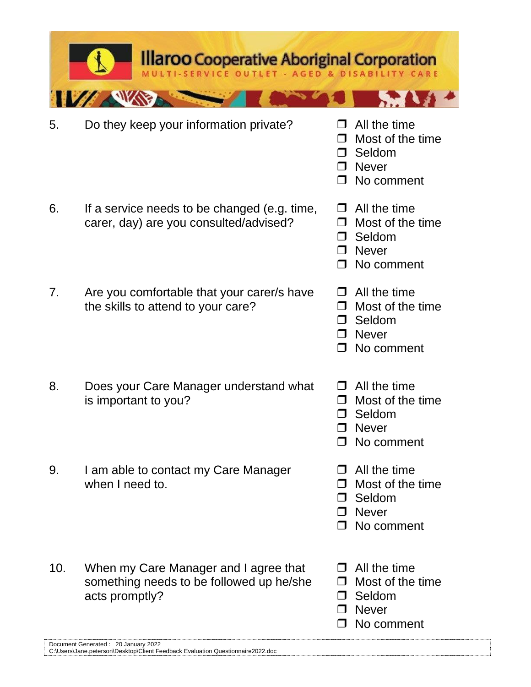|     | Do they keep your information private?                                                              | П<br>$\Box$<br>$\Box$<br>П           | All the time<br>Most of the time<br>Seldom<br><b>Never</b><br>No comment |
|-----|-----------------------------------------------------------------------------------------------------|--------------------------------------|--------------------------------------------------------------------------|
|     | If a service needs to be changed (e.g. time,<br>carer, day) are you consulted/advised?              | $\Box$<br>$\Box$<br>⊓<br>$\Box$      | All the time<br>Most of the time<br>Seldom<br><b>Never</b><br>No comment |
|     | Are you comfortable that your carer/s have<br>the skills to attend to your care?                    | $\Box$<br>$\Box$<br>$\Box$<br>$\Box$ | All the time<br>Most of the time<br>Seldom<br><b>Never</b><br>No comment |
|     | Does your Care Manager understand what<br>is important to you?                                      | $\Box$                               | All the time<br>Most of the time<br>Seldom<br><b>Never</b><br>No comment |
| 9.  | I am able to contact my Care Manager<br>when I need to.                                             | ⊓                                    | All the time<br>Most of the time<br>Seldom<br><b>Never</b><br>No comment |
| 10. | When my Care Manager and I agree that<br>something needs to be followed up he/she<br>acts promptly? | l 1<br>П<br>$\Box$                   | All the time<br>Most of the time<br>Seldom<br><b>Never</b><br>No comment |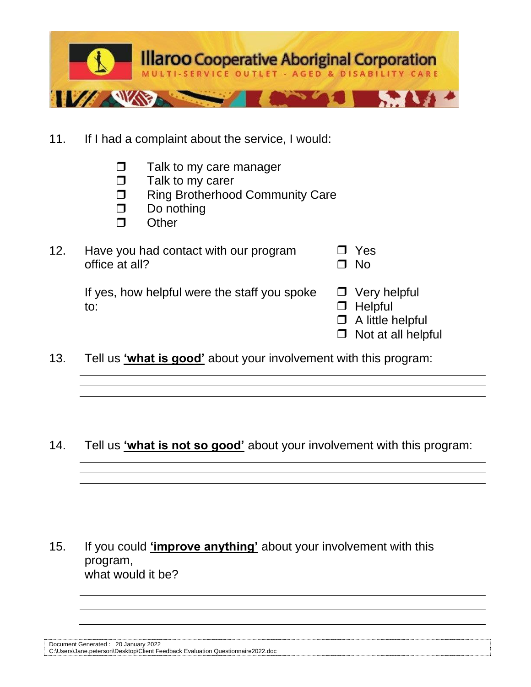

- 11. If I had a complaint about the service, I would:
	- $\Box$  Talk to my care manager
	- $\Box$  Talk to my carer
	- □ Ring Brotherhood Community Care
	- $\Box$  Do nothing
	- $\Box$  Other

| 12. | Have you had contact with our program | $\Box$ Yes |
|-----|---------------------------------------|------------|
|     | office at all?                        | $\Box$ No  |

If yes, how helpful were the staff you spoke  $\Box$  Very helpful to: and the state of the state of the state of the state of the state of the state of the state of the state of the state of the state of the state of the state of the state of the state of the state of the state of the st

- 
- 
- $\Box$  A little helpful
- $\Box$  Not at all helpful
- 13. Tell us **'what is good'** about your involvement with this program:

14. Tell us **'what is not so good'** about your involvement with this program:

15. If you could **'improve anything'** about your involvement with this program, what would it be?

| Document Generated: 20 January 2022 |  |                                                                                 |
|-------------------------------------|--|---------------------------------------------------------------------------------|
|                                     |  | C:\Users\Jane.peterson\Desktop\Client Feedback Evaluation Questionnaire2022.doc |